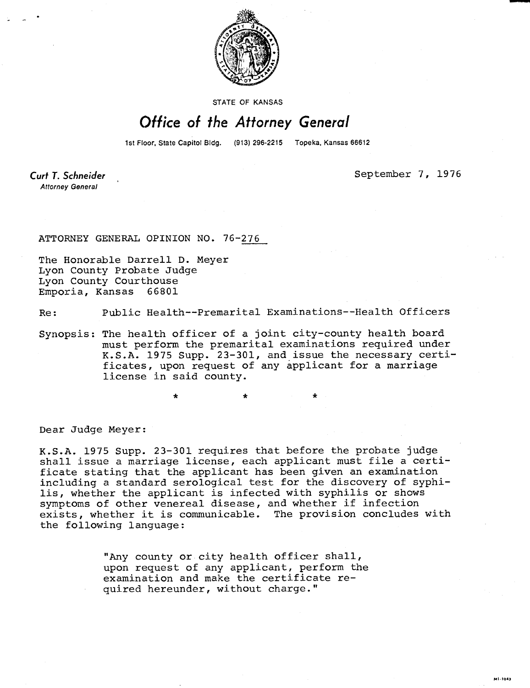

STATE OF KANSAS

## Office of the Attorney General

1st Floor, State Capitol Bldg. (913) 296-2215 Topeka, Kansas 66612

**Curt T. Schneider Attorney General** 

September 7, 1976

**ME-1043** 

ATTORNEY GENERAL OPINION NO. 76-276

\*

The Honorable Darrell D. Meyer Lyon County Probate Judge Lyon County Courthouse Emporia, Kansas 66801

Re: Public Health--Premarital Examinations--Health Officers

Synopsis: The health officer of a joint city-county health board must perform the premarital examinations required under K.S.A. 1975 Supp. 23-301, and issue the necessary certificates, upon request of any applicant for a marriage license in said county.

Dear Judge Meyer:

K.S.A. 1975 Supp. 23-301 requires that before the probate judge shall issue a marriage license, each applicant must file a certificate stating that the applicant has been given an examination including a standard serological test for the discovery of syphilis, whether the applicant is infected with syphilis or shows symptoms of other venereal disease, and whether if infection exists, whether it is communicable. The provision concludes with the following language:

> "Any county or city health officer shall, upon request of any applicant, perform the examination and make the certificate required hereunder, without charge."